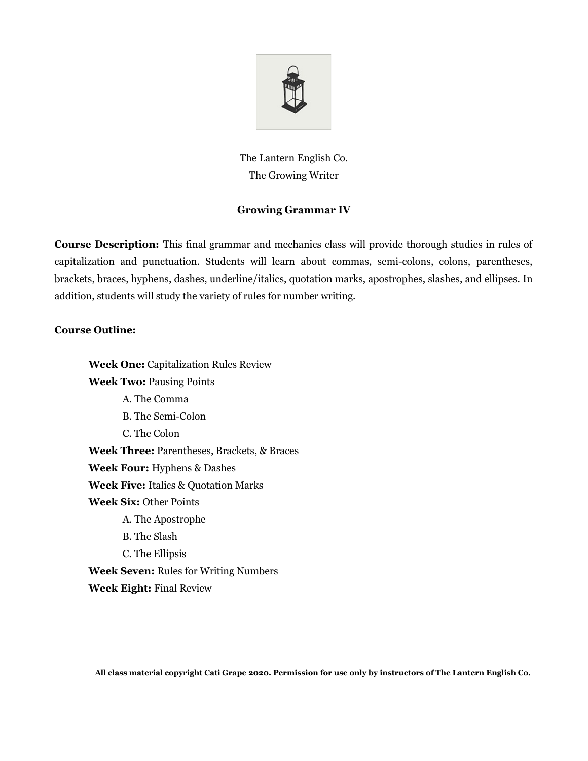

The Lantern English Co. The Growing Writer

## **Growing Grammar IV**

**Course Description:** This final grammar and mechanics class will provide thorough studies in rules of capitalization and punctuation. Students will learn about commas, semi-colons, colons, parentheses, brackets, braces, hyphens, dashes, underline/italics, quotation marks, apostrophes, slashes, and ellipses. In addition, students will study the variety of rules for number writing.

## **Course Outline:**

**Week One:** Capitalization Rules Review **Week Two:** Pausing Points A. The Comma B. The Semi-Colon C. The Colon **Week Three:** Parentheses, Brackets, & Braces **Week Four:** Hyphens & Dashes **Week Five:** Italics & Quotation Marks **Week Six:** Other Points A. The Apostrophe B. The Slash C. The Ellipsis **Week Seven:** Rules for Writing Numbers **Week Eight:** Final Review

**All class material copyright Cati Grape 2020. Permission for use only by instructors of The Lantern English Co.**